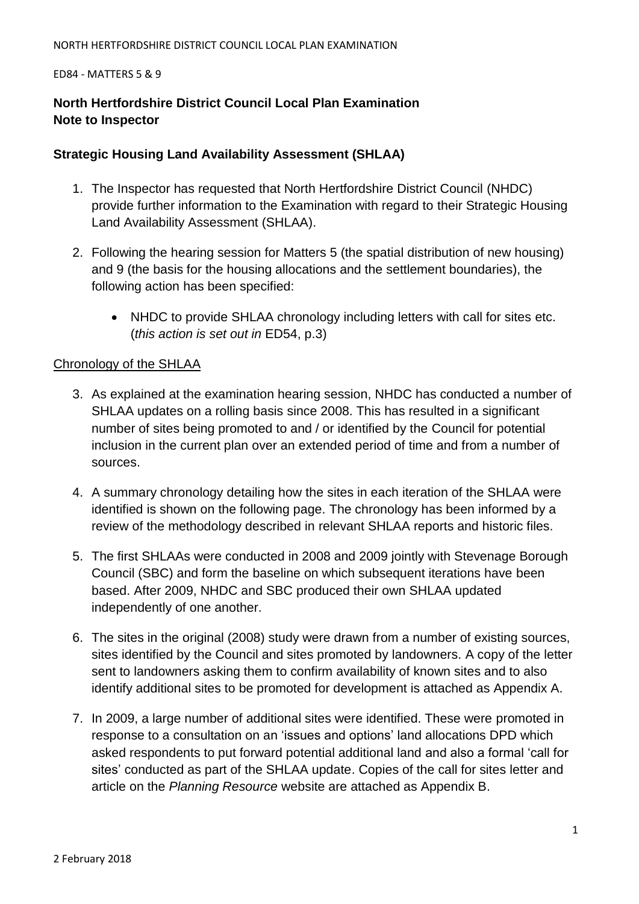### ED84 - MATTERS 5 & 9

### **North Hertfordshire District Council Local Plan Examination Note to Inspector**

### **Strategic Housing Land Availability Assessment (SHLAA)**

- 1. The Inspector has requested that North Hertfordshire District Council (NHDC) provide further information to the Examination with regard to their Strategic Housing Land Availability Assessment (SHLAA).
- 2. Following the hearing session for Matters 5 (the spatial distribution of new housing) and 9 (the basis for the housing allocations and the settlement boundaries), the following action has been specified:
	- NHDC to provide SHLAA chronology including letters with call for sites etc. (*this action is set out in* ED54, p.3)

### Chronology of the SHLAA

- 3. As explained at the examination hearing session, NHDC has conducted a number of SHLAA updates on a rolling basis since 2008. This has resulted in a significant number of sites being promoted to and / or identified by the Council for potential inclusion in the current plan over an extended period of time and from a number of sources.
- 4. A summary chronology detailing how the sites in each iteration of the SHLAA were identified is shown on the following page. The chronology has been informed by a review of the methodology described in relevant SHLAA reports and historic files.
- 5. The first SHLAAs were conducted in 2008 and 2009 jointly with Stevenage Borough Council (SBC) and form the baseline on which subsequent iterations have been based. After 2009, NHDC and SBC produced their own SHLAA updated independently of one another.
- 6. The sites in the original (2008) study were drawn from a number of existing sources, sites identified by the Council and sites promoted by landowners. A copy of the letter sent to landowners asking them to confirm availability of known sites and to also identify additional sites to be promoted for development is attached as Appendix A.
- 7. In 2009, a large number of additional sites were identified. These were promoted in response to a consultation on an 'issues and options' land allocations DPD which asked respondents to put forward potential additional land and also a formal 'call for sites' conducted as part of the SHLAA update. Copies of the call for sites letter and article on the *Planning Resource* website are attached as Appendix B.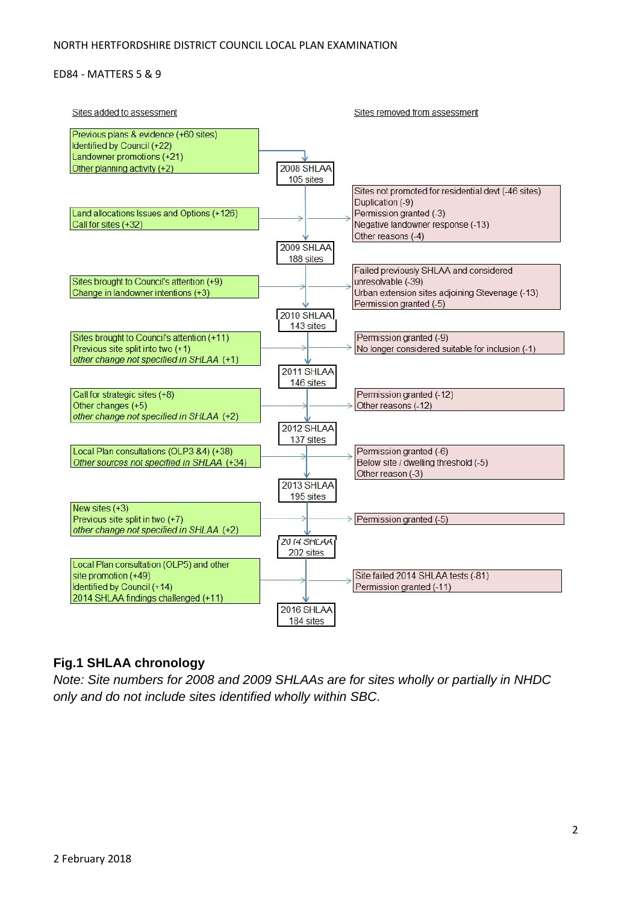### ED84 - MATTERS 5 & 9



### **Fig.1 SHLAA chronology**

*Note: Site numbers for 2008 and 2009 SHLAAs are for sites wholly or partially in NHDC only and do not include sites identified wholly within SBC.*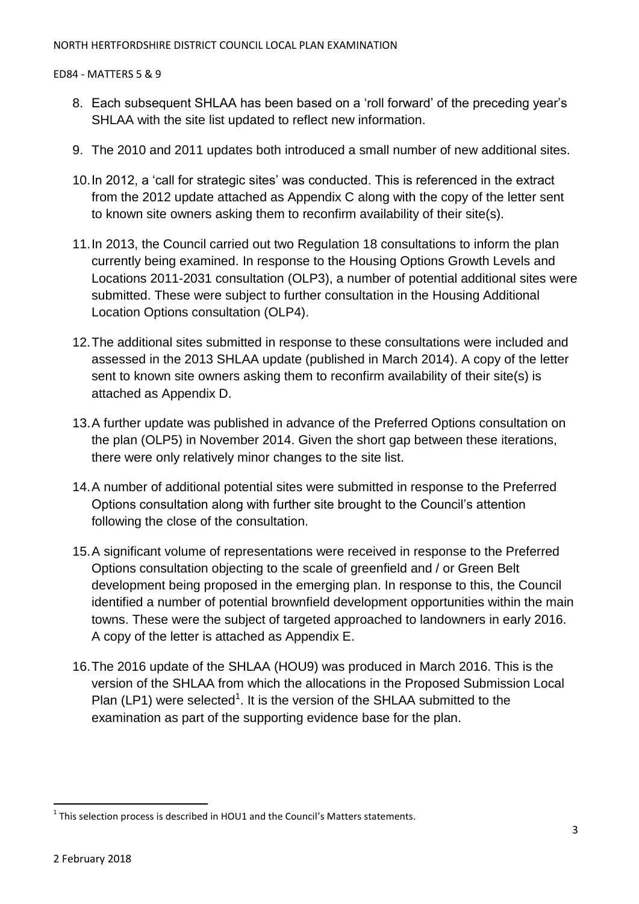ED84 - MATTERS 5 & 9

- 8. Each subsequent SHLAA has been based on a 'roll forward' of the preceding year's SHLAA with the site list updated to reflect new information.
- 9. The 2010 and 2011 updates both introduced a small number of new additional sites.
- 10.In 2012, a 'call for strategic sites' was conducted. This is referenced in the extract from the 2012 update attached as Appendix C along with the copy of the letter sent to known site owners asking them to reconfirm availability of their site(s).
- 11.In 2013, the Council carried out two Regulation 18 consultations to inform the plan currently being examined. In response to the Housing Options Growth Levels and Locations 2011-2031 consultation (OLP3), a number of potential additional sites were submitted. These were subject to further consultation in the Housing Additional Location Options consultation (OLP4).
- 12.The additional sites submitted in response to these consultations were included and assessed in the 2013 SHLAA update (published in March 2014). A copy of the letter sent to known site owners asking them to reconfirm availability of their site(s) is attached as Appendix D.
- 13.A further update was published in advance of the Preferred Options consultation on the plan (OLP5) in November 2014. Given the short gap between these iterations, there were only relatively minor changes to the site list.
- 14.A number of additional potential sites were submitted in response to the Preferred Options consultation along with further site brought to the Council's attention following the close of the consultation.
- 15.A significant volume of representations were received in response to the Preferred Options consultation objecting to the scale of greenfield and / or Green Belt development being proposed in the emerging plan. In response to this, the Council identified a number of potential brownfield development opportunities within the main towns. These were the subject of targeted approached to landowners in early 2016. A copy of the letter is attached as Appendix E.
- 16.The 2016 update of the SHLAA (HOU9) was produced in March 2016. This is the version of the SHLAA from which the allocations in the Proposed Submission Local Plan (LP1) were selected<sup>1</sup>. It is the version of the SHLAA submitted to the examination as part of the supporting evidence base for the plan.

 $\ddot{\phantom{a}}$  $^1$  This selection process is described in HOU1 and the Council's Matters statements.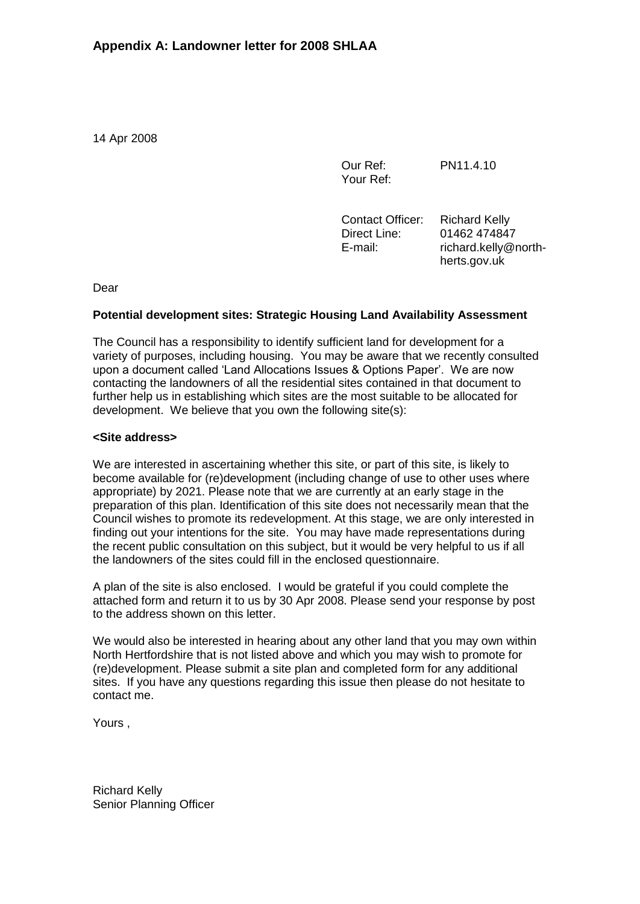14 Apr 2008

Our Ref: Your Ref: PN11.4.10

Contact Officer: Direct Line: E-mail: Richard Kelly 01462 474847 richard.kelly@northherts.gov.uk

Dear

### **Potential development sites: Strategic Housing Land Availability Assessment**

The Council has a responsibility to identify sufficient land for development for a variety of purposes, including housing. You may be aware that we recently consulted upon a document called 'Land Allocations Issues & Options Paper'. We are now contacting the landowners of all the residential sites contained in that document to further help us in establishing which sites are the most suitable to be allocated for development. We believe that you own the following site(s):

### **<Site address>**

We are interested in ascertaining whether this site, or part of this site, is likely to become available for (re)development (including change of use to other uses where appropriate) by 2021. Please note that we are currently at an early stage in the preparation of this plan. Identification of this site does not necessarily mean that the Council wishes to promote its redevelopment. At this stage, we are only interested in finding out your intentions for the site. You may have made representations during the recent public consultation on this subject, but it would be very helpful to us if all the landowners of the sites could fill in the enclosed questionnaire.

A plan of the site is also enclosed. I would be grateful if you could complete the attached form and return it to us by 30 Apr 2008. Please send your response by post to the address shown on this letter.

We would also be interested in hearing about any other land that you may own within North Hertfordshire that is not listed above and which you may wish to promote for (re)development. Please submit a site plan and completed form for any additional sites. If you have any questions regarding this issue then please do not hesitate to contact me.

Yours ,

Richard Kelly Senior Planning Officer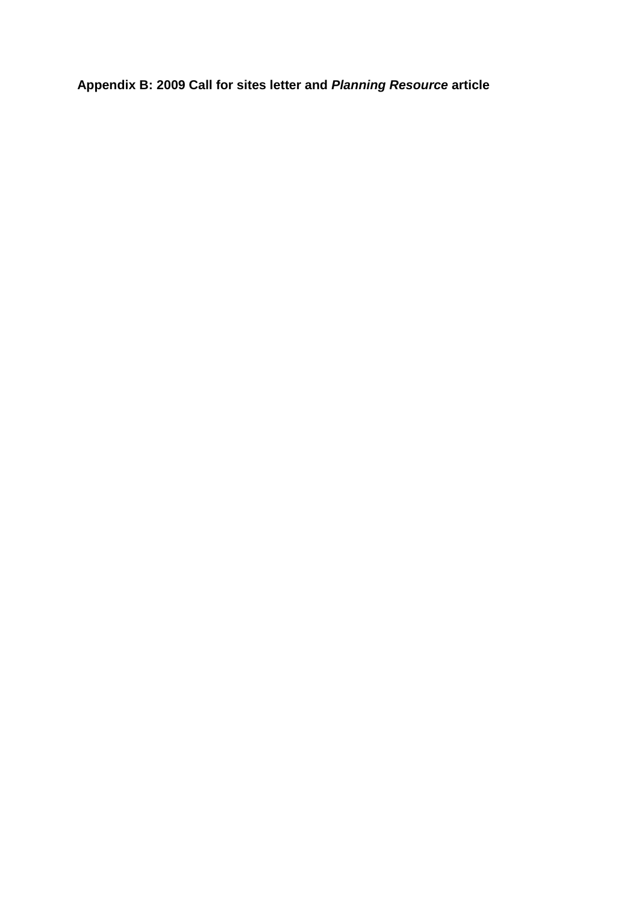**Appendix B: 2009 Call for sites letter and** *Planning Resource* **article**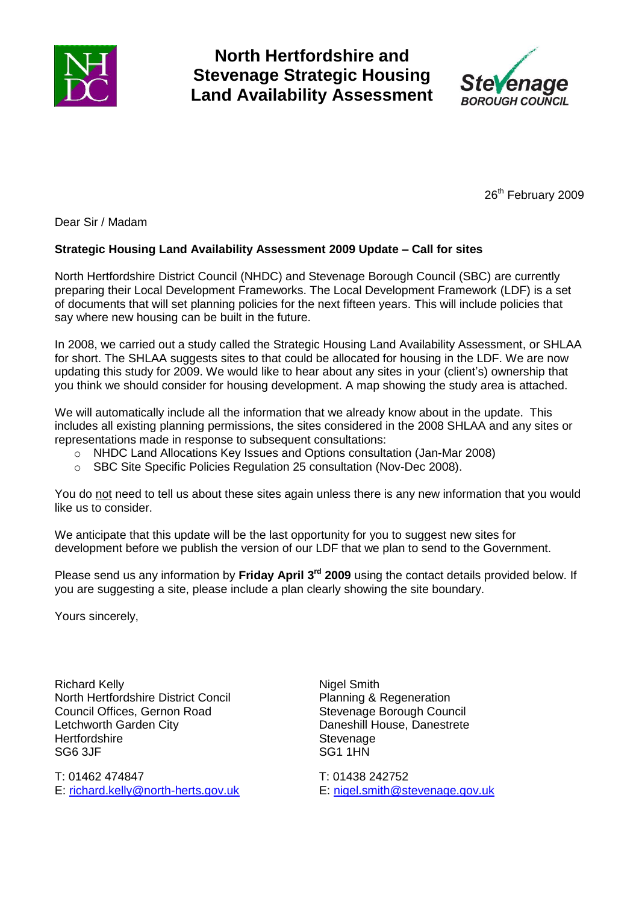

## **North Hertfordshire and Stevenage Strategic Housing Land Availability Assessment**



26<sup>th</sup> February 2009

Dear Sir / Madam

### **Strategic Housing Land Availability Assessment 2009 Update – Call for sites**

North Hertfordshire District Council (NHDC) and Stevenage Borough Council (SBC) are currently preparing their Local Development Frameworks. The Local Development Framework (LDF) is a set of documents that will set planning policies for the next fifteen years. This will include policies that say where new housing can be built in the future.

In 2008, we carried out a study called the Strategic Housing Land Availability Assessment, or SHLAA for short. The SHLAA suggests sites to that could be allocated for housing in the LDF. We are now updating this study for 2009. We would like to hear about any sites in your (client's) ownership that you think we should consider for housing development. A map showing the study area is attached.

We will automatically include all the information that we already know about in the update. This includes all existing planning permissions, the sites considered in the 2008 SHLAA and any sites or representations made in response to subsequent consultations:

- o NHDC Land Allocations Key Issues and Options consultation (Jan-Mar 2008)
- o SBC Site Specific Policies Regulation 25 consultation (Nov-Dec 2008).

You do not need to tell us about these sites again unless there is any new information that you would like us to consider.

We anticipate that this update will be the last opportunity for you to suggest new sites for development before we publish the version of our LDF that we plan to send to the Government.

Please send us any information by **Friday April 3rd 2009** using the contact details provided below. If you are suggesting a site, please include a plan clearly showing the site boundary.

Yours sincerely,

Richard Kelly North Hertfordshire District Concil Council Offices, Gernon Road Letchworth Garden City **Hertfordshire** SG6 3JF

T: 01462 474847 E: [richard.kelly@north-herts.gov.uk](mailto:richard.kelly@north-herts.gov.uk) Nigel Smith Planning & Regeneration Stevenage Borough Council Daneshill House, Danestrete **Stevenage** SG1 1HN

T: 01438 242752 E: [nigel.smith@stevenage.gov.uk](mailto:nigel.smith@stevenage.gov.uk)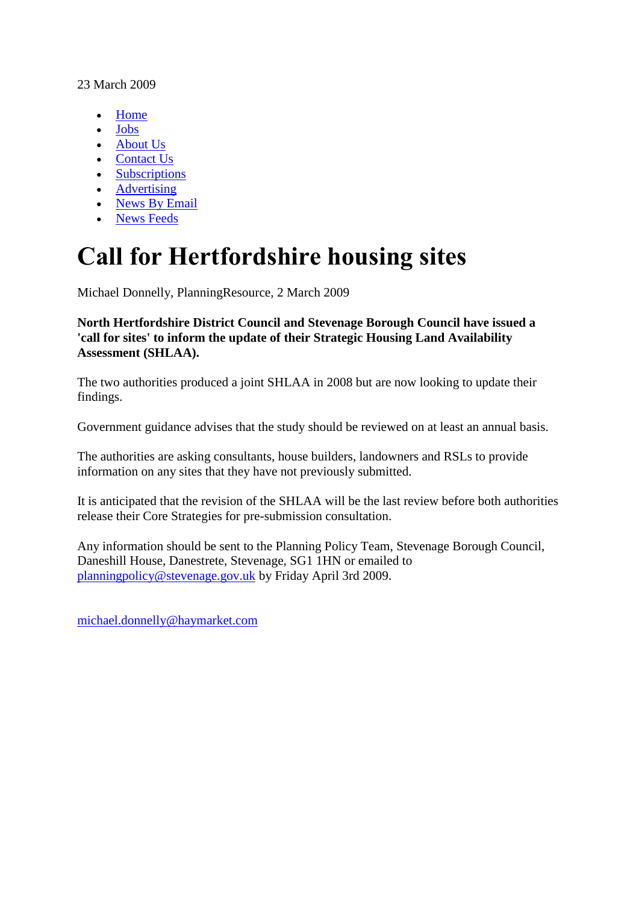### 23 March 2009

- [Home](http://www.planningresource.co.uk/)
- [Jobs](http://jobs.planningresource.co.uk/)
- [About Us](http://www.planningresource.co.uk/aboutus/)
- [Contact Us](http://www.planningresource.co.uk/contactus/)
- [Subscriptions](http://www.planningresource.co.uk/subscriptions/)
- [Advertising](http://www.planningresource.co.uk/advertising/)
- [News By Email](http://www.planningresource.co.uk/newsbyemail/)
- [News Feeds](http://www.planningresource.co.uk/rss/)

# **Call for Hertfordshire housing sites**

Michael Donnelly, PlanningResource, 2 March 2009

**North Hertfordshire District Council and Stevenage Borough Council have issued a 'call for sites' to inform the update of their Strategic Housing Land Availability Assessment (SHLAA).**

The two authorities produced a joint SHLAA in 2008 but are now looking to update their findings.

Government guidance advises that the study should be reviewed on at least an annual basis.

The authorities are asking consultants, house builders, landowners and RSLs to provide information on any sites that they have not previously submitted.

It is anticipated that the revision of the SHLAA will be the last review before both authorities release their Core Strategies for pre-submission consultation.

Any information should be sent to the Planning Policy Team, Stevenage Borough Council, Daneshill House, Danestrete, Stevenage, SG1 1HN or emailed to [planningpolicy@stevenage.gov.uk](mailto:planningpolicy@stevenage.gov.uk) by Friday April 3rd 2009.

michael.donnelly@haymarket.com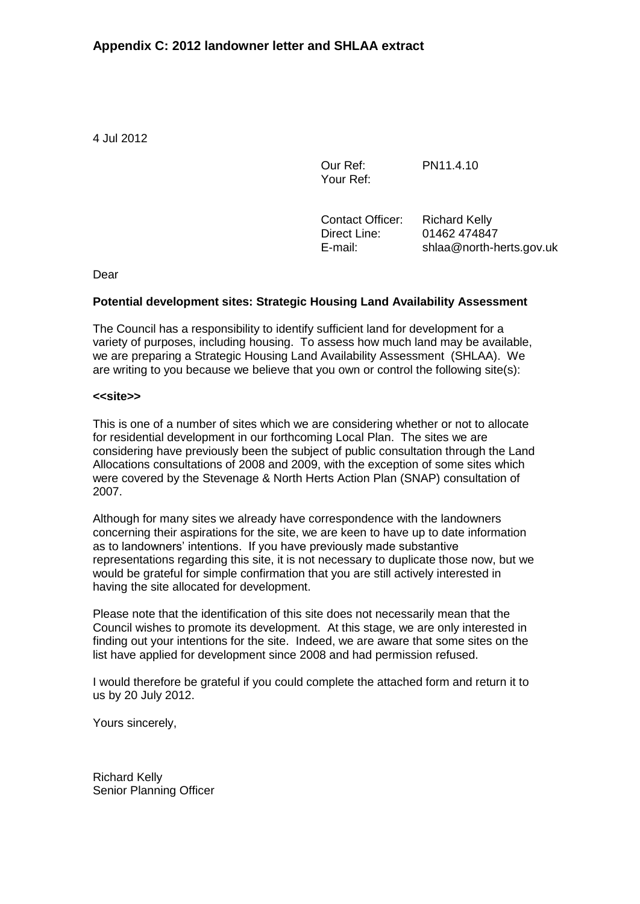4 Jul 2012

Our Ref: Your Ref:

PN11.4.10

Contact Officer: Direct Line: E-mail:

Richard Kelly 01462 474847 shlaa@north-herts.gov.uk

Dear

### **Potential development sites: Strategic Housing Land Availability Assessment**

The Council has a responsibility to identify sufficient land for development for a variety of purposes, including housing. To assess how much land may be available, we are preparing a Strategic Housing Land Availability Assessment (SHLAA). We are writing to you because we believe that you own or control the following site(s):

### **<<site>>**

This is one of a number of sites which we are considering whether or not to allocate for residential development in our forthcoming Local Plan. The sites we are considering have previously been the subject of public consultation through the Land Allocations consultations of 2008 and 2009, with the exception of some sites which were covered by the Stevenage & North Herts Action Plan (SNAP) consultation of 2007.

Although for many sites we already have correspondence with the landowners concerning their aspirations for the site, we are keen to have up to date information as to landowners' intentions. If you have previously made substantive representations regarding this site, it is not necessary to duplicate those now, but we would be grateful for simple confirmation that you are still actively interested in having the site allocated for development.

Please note that the identification of this site does not necessarily mean that the Council wishes to promote its development. At this stage, we are only interested in finding out your intentions for the site. Indeed, we are aware that some sites on the list have applied for development since 2008 and had permission refused.

I would therefore be grateful if you could complete the attached form and return it to us by 20 July 2012.

Yours sincerely,

Richard Kelly Senior Planning Officer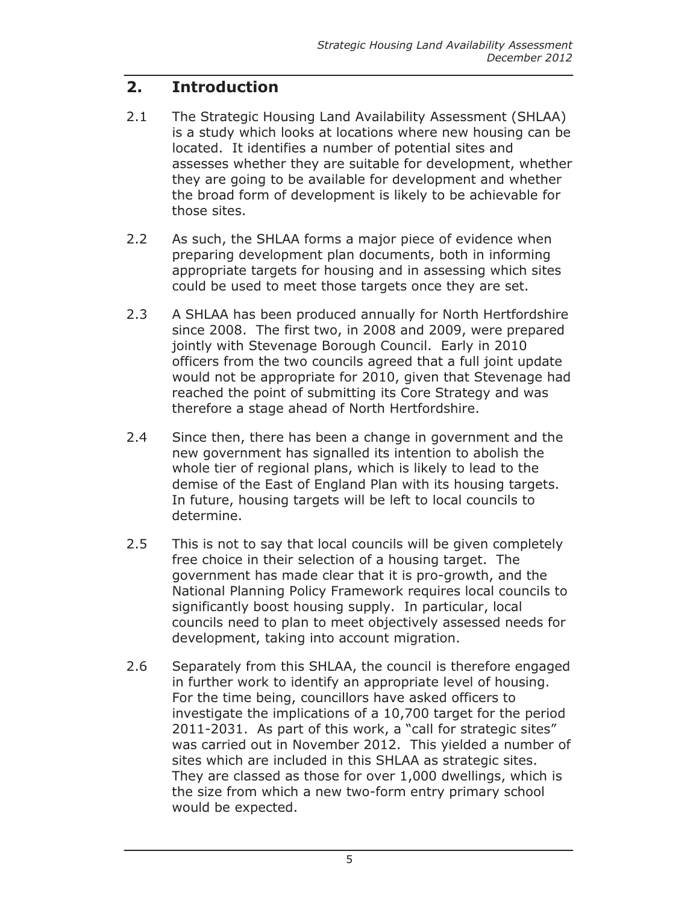#### $2.$ **Introduction**

- $2.1$ The Strategic Housing Land Availability Assessment (SHLAA) is a study which looks at locations where new housing can be located. It identifies a number of potential sites and assesses whether they are suitable for development, whether they are going to be available for development and whether the broad form of development is likely to be achievable for those sites.
- $2.2$ As such, the SHLAA forms a major piece of evidence when preparing development plan documents, both in informing appropriate targets for housing and in assessing which sites could be used to meet those targets once they are set.
- $2.3$ A SHLAA has been produced annually for North Hertfordshire since 2008. The first two, in 2008 and 2009, were prepared jointly with Stevenage Borough Council. Early in 2010 officers from the two councils agreed that a full joint update would not be appropriate for 2010, given that Stevenage had reached the point of submitting its Core Strategy and was therefore a stage ahead of North Hertfordshire.
- $2.4$ Since then, there has been a change in government and the new government has signalled its intention to abolish the whole tier of regional plans, which is likely to lead to the demise of the East of England Plan with its housing targets. In future, housing targets will be left to local councils to determine.
- $2.5$ This is not to say that local councils will be given completely free choice in their selection of a housing target. The government has made clear that it is pro-growth, and the National Planning Policy Framework requires local councils to significantly boost housing supply. In particular, local councils need to plan to meet objectively assessed needs for development, taking into account migration.
- $2.6$ Separately from this SHLAA, the council is therefore engaged in further work to identify an appropriate level of housing. For the time being, councillors have asked officers to investigate the implications of a 10,700 target for the period 2011-2031. As part of this work, a "call for strategic sites" was carried out in November 2012. This yielded a number of sites which are included in this SHLAA as strategic sites. They are classed as those for over 1,000 dwellings, which is the size from which a new two-form entry primary school would be expected.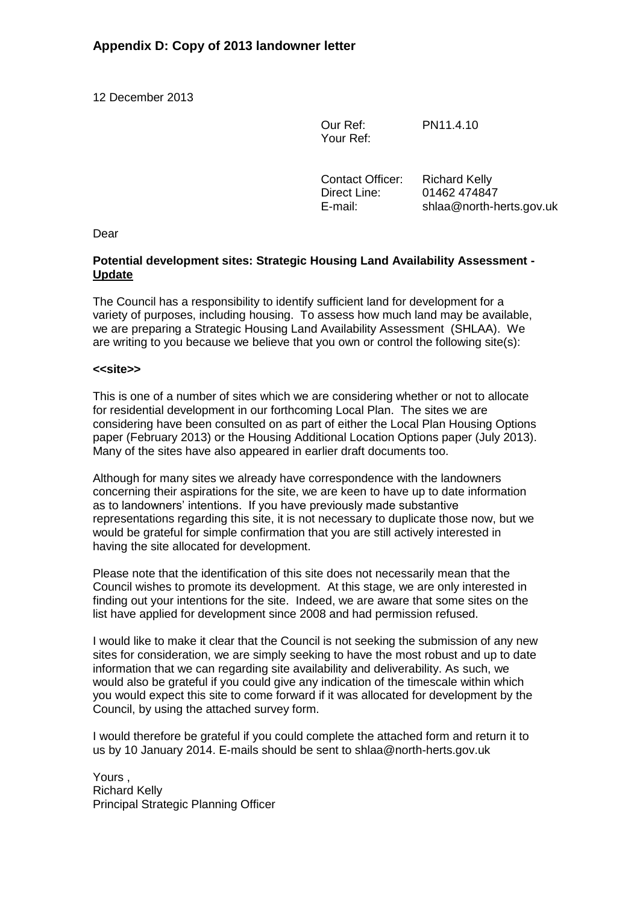12 December 2013

Our Ref: Your Ref: PN11.4.10

Contact Officer: Direct Line: E-mail: Richard Kelly 01462 474847 shlaa@north-herts.gov.uk

Dear

### **Potential development sites: Strategic Housing Land Availability Assessment - Update**

The Council has a responsibility to identify sufficient land for development for a variety of purposes, including housing. To assess how much land may be available, we are preparing a Strategic Housing Land Availability Assessment (SHLAA). We are writing to you because we believe that you own or control the following site(s):

### **<<site>>**

This is one of a number of sites which we are considering whether or not to allocate for residential development in our forthcoming Local Plan. The sites we are considering have been consulted on as part of either the Local Plan Housing Options paper (February 2013) or the Housing Additional Location Options paper (July 2013). Many of the sites have also appeared in earlier draft documents too.

Although for many sites we already have correspondence with the landowners concerning their aspirations for the site, we are keen to have up to date information as to landowners' intentions. If you have previously made substantive representations regarding this site, it is not necessary to duplicate those now, but we would be grateful for simple confirmation that you are still actively interested in having the site allocated for development.

Please note that the identification of this site does not necessarily mean that the Council wishes to promote its development. At this stage, we are only interested in finding out your intentions for the site. Indeed, we are aware that some sites on the list have applied for development since 2008 and had permission refused.

I would like to make it clear that the Council is not seeking the submission of any new sites for consideration, we are simply seeking to have the most robust and up to date information that we can regarding site availability and deliverability. As such, we would also be grateful if you could give any indication of the timescale within which you would expect this site to come forward if it was allocated for development by the Council, by using the attached survey form.

I would therefore be grateful if you could complete the attached form and return it to us by 10 January 2014. E-mails should be sent to shlaa@north-herts.gov.uk

Yours , Richard Kelly Principal Strategic Planning Officer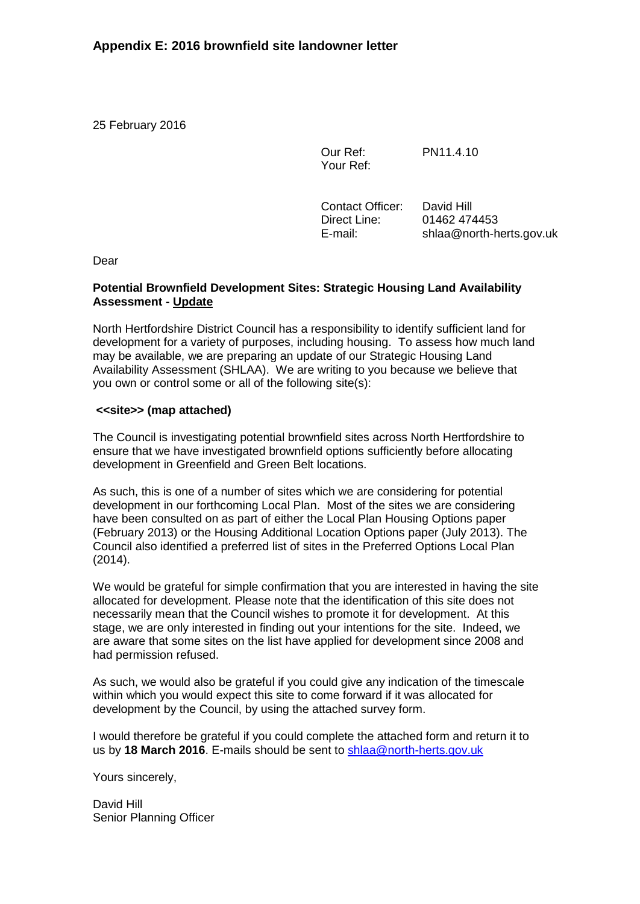25 February 2016

Our Ref: Your Ref: PN11.4.10

Contact Officer: David Hill Direct Line: 01462 474453 E-mail: shlaa@north-herts.gov.uk

Dear

### **Potential Brownfield Development Sites: Strategic Housing Land Availability Assessment - Update**

North Hertfordshire District Council has a responsibility to identify sufficient land for development for a variety of purposes, including housing. To assess how much land may be available, we are preparing an update of our Strategic Housing Land Availability Assessment (SHLAA). We are writing to you because we believe that you own or control some or all of the following site(s):

### **<<site>> (map attached)**

The Council is investigating potential brownfield sites across North Hertfordshire to ensure that we have investigated brownfield options sufficiently before allocating development in Greenfield and Green Belt locations.

As such, this is one of a number of sites which we are considering for potential development in our forthcoming Local Plan. Most of the sites we are considering have been consulted on as part of either the Local Plan Housing Options paper (February 2013) or the Housing Additional Location Options paper (July 2013). The Council also identified a preferred list of sites in the Preferred Options Local Plan (2014).

We would be grateful for simple confirmation that you are interested in having the site allocated for development. Please note that the identification of this site does not necessarily mean that the Council wishes to promote it for development. At this stage, we are only interested in finding out your intentions for the site. Indeed, we are aware that some sites on the list have applied for development since 2008 and had permission refused.

As such, we would also be grateful if you could give any indication of the timescale within which you would expect this site to come forward if it was allocated for development by the Council, by using the attached survey form.

I would therefore be grateful if you could complete the attached form and return it to us by **18 March 2016**. E-mails should be sent to [shlaa@north-herts.gov.uk](mailto:shlaa@north-herts.gov.uk)

Yours sincerely,

David Hill Senior Planning Officer